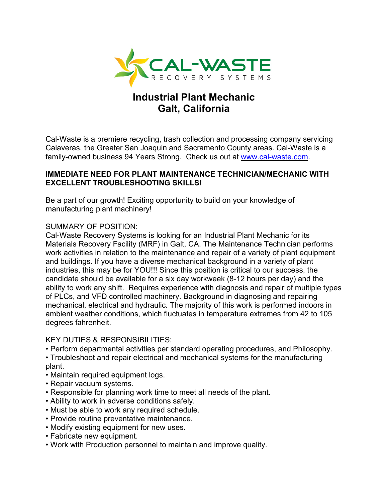

# **Industrial Plant Mechanic Galt, California**

Cal-Waste is a premiere recycling, trash collection and processing company servicing Calaveras, the Greater San Joaquin and Sacramento County areas. Cal-Waste is a family-owned business 94 Years Strong. Check us out at [www.cal-waste.com.](http://www.cal-waste.com/)

# **IMMEDIATE NEED FOR PLANT MAINTENANCE TECHNICIAN/MECHANIC WITH EXCELLENT TROUBLESHOOTING SKILLS!**

Be a part of our growth! Exciting opportunity to build on your knowledge of manufacturing plant machinery!

# SUMMARY OF POSITION:

Cal-Waste Recovery Systems is looking for an Industrial Plant Mechanic for its Materials Recovery Facility (MRF) in Galt, CA. The Maintenance Technician performs work activities in relation to the maintenance and repair of a variety of plant equipment and buildings. If you have a diverse mechanical background in a variety of plant industries, this may be for YOU!!! Since this position is critical to our success, the candidate should be available for a six day workweek (8-12 hours per day) and the ability to work any shift. Requires experience with diagnosis and repair of multiple types of PLCs, and VFD controlled machinery. Background in diagnosing and repairing mechanical, electrical and hydraulic. The majority of this work is performed indoors in ambient weather conditions, which fluctuates in temperature extremes from 42 to 105 degrees fahrenheit.

#### KEY DUTIES & RESPONSIBILITIES:

- Perform departmental activities per standard operating procedures, and Philosophy.
- Troubleshoot and repair electrical and mechanical systems for the manufacturing plant.
- Maintain required equipment logs.
- Repair vacuum systems.
- Responsible for planning work time to meet all needs of the plant.
- Ability to work in adverse conditions safely.
- Must be able to work any required schedule.
- Provide routine preventative maintenance.
- Modify existing equipment for new uses.
- Fabricate new equipment.
- Work with Production personnel to maintain and improve quality.